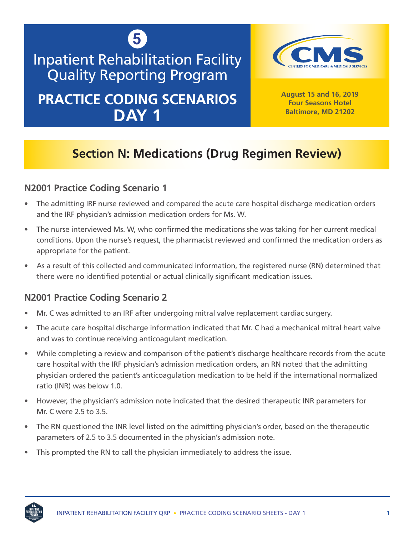

# Inpatient Rehabilitation Facility Quality Reporting Program **PRACTICE CODING SCENARIOS**

**DAY 1**



**August 15 and 16, 2019 Four Seasons Hotel Baltimore, MD 21202**

## **Section N: Medications (Drug Regimen Review)**

## **N2001 Practice Coding Scenario 1**

- The admitting IRF nurse reviewed and compared the acute care hospital discharge medication orders and the IRF physician's admission medication orders for Ms. W.
- The nurse interviewed Ms. W, who confirmed the medications she was taking for her current medical conditions. Upon the nurse's request, the pharmacist reviewed and confirmed the medication orders as appropriate for the patient.
- As a result of this collected and communicated information, the registered nurse (RN) determined that there were no identified potential or actual clinically significant medication issues.

## **N2001 Practice Coding Scenario 2**

- Mr. C was admitted to an IRF after undergoing mitral valve replacement cardiac surgery.
- The acute care hospital discharge information indicated that Mr. C had a mechanical mitral heart valve and was to continue receiving anticoagulant medication.
- While completing a review and comparison of the patient's discharge healthcare records from the acute care hospital with the IRF physician's admission medication orders, an RN noted that the admitting physician ordered the patient's anticoagulation medication to be held if the international normalized ratio (INR) was below 1.0.
- However, the physician's admission note indicated that the desired therapeutic INR parameters for Mr. C were 2.5 to 3.5.
- The RN questioned the INR level listed on the admitting physician's order, based on the therapeutic parameters of 2.5 to 3.5 documented in the physician's admission note.
- This prompted the RN to call the physician immediately to address the issue.

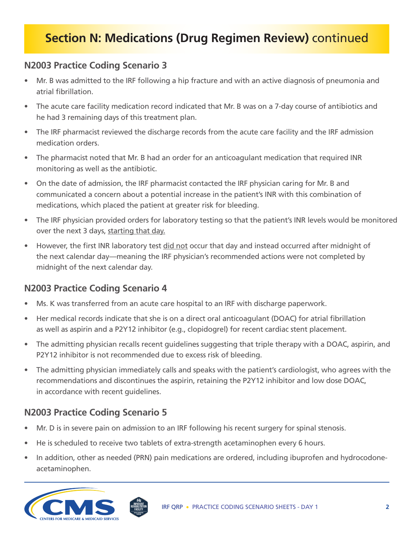## **Section N: Medications (Drug Regimen Review)** continued

## **N2003 Practice Coding Scenario 3**

- Mr. B was admitted to the IRF following a hip fracture and with an active diagnosis of pneumonia and atrial fibrillation.
- The acute care facility medication record indicated that Mr. B was on a 7-day course of antibiotics and he had 3 remaining days of this treatment plan.
- The IRF pharmacist reviewed the discharge records from the acute care facility and the IRF admission medication orders.
- The pharmacist noted that Mr. B had an order for an anticoagulant medication that required INR monitoring as well as the antibiotic.
- On the date of admission, the IRF pharmacist contacted the IRF physician caring for Mr. B and communicated a concern about a potential increase in the patient's INR with this combination of medications, which placed the patient at greater risk for bleeding.
- The IRF physician provided orders for laboratory testing so that the patient's INR levels would be monitored over the next 3 days, starting that day.
- However, the first INR laboratory test did not occur that day and instead occurred after midnight of the next calendar day—meaning the IRF physician's recommended actions were not completed by midnight of the next calendar day.

## **N2003 Practice Coding Scenario 4**

- Ms. K was transferred from an acute care hospital to an IRF with discharge paperwork.
- Her medical records indicate that she is on a direct oral anticoagulant (DOAC) for atrial fibrillation as well as aspirin and a P2Y12 inhibitor (e.g., clopidogrel) for recent cardiac stent placement.
- The admitting physician recalls recent guidelines suggesting that triple therapy with a DOAC, aspirin, and P2Y12 inhibitor is not recommended due to excess risk of bleeding.
- The admitting physician immediately calls and speaks with the patient's cardiologist, who agrees with the recommendations and discontinues the aspirin, retaining the P2Y12 inhibitor and low dose DOAC, in accordance with recent guidelines.

## **N2003 Practice Coding Scenario 5**

- Mr. D is in severe pain on admission to an IRF following his recent surgery for spinal stenosis.
- He is scheduled to receive two tablets of extra-strength acetaminophen every 6 hours.
- In addition, other as needed (PRN) pain medications are ordered, including ibuprofen and hydrocodoneacetaminophen.

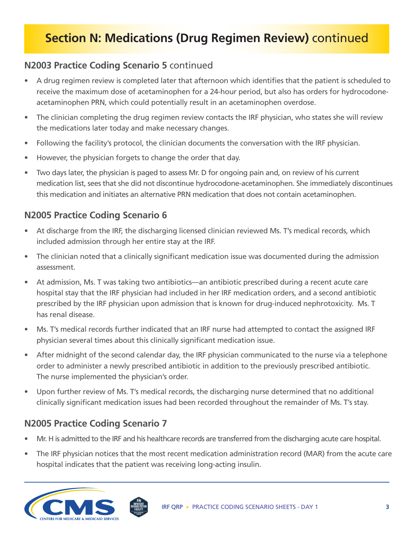## **Section N: Medications (Drug Regimen Review)** continued

## **N2003 Practice Coding Scenario 5** continued

- A drug regimen review is completed later that afternoon which identifies that the patient is scheduled to receive the maximum dose of acetaminophen for a 24-hour period, but also has orders for hydrocodoneacetaminophen PRN, which could potentially result in an acetaminophen overdose.
- The clinician completing the drug regimen review contacts the IRF physician, who states she will review the medications later today and make necessary changes.
- Following the facility's protocol, the clinician documents the conversation with the IRF physician.
- However, the physician forgets to change the order that day.
- Two days later, the physician is paged to assess Mr. D for ongoing pain and, on review of his current medication list, sees that she did not discontinue hydrocodone-acetaminophen. She immediately discontinues this medication and initiates an alternative PRN medication that does not contain acetaminophen.

## **N2005 Practice Coding Scenario 6**

- At discharge from the IRF, the discharging licensed clinician reviewed Ms. T's medical records, which included admission through her entire stay at the IRF.
- The clinician noted that a clinically significant medication issue was documented during the admission assessment.
- At admission, Ms. T was taking two antibiotics—an antibiotic prescribed during a recent acute care hospital stay that the IRF physician had included in her IRF medication orders, and a second antibiotic prescribed by the IRF physician upon admission that is known for drug-induced nephrotoxicity. Ms. T has renal disease.
- Ms. T's medical records further indicated that an IRF nurse had attempted to contact the assigned IRF physician several times about this clinically significant medication issue.
- After midnight of the second calendar day, the IRF physician communicated to the nurse via a telephone order to administer a newly prescribed antibiotic in addition to the previously prescribed antibiotic. The nurse implemented the physician's order.
- Upon further review of Ms. T's medical records, the discharging nurse determined that no additional clinically significant medication issues had been recorded throughout the remainder of Ms. T's stay.

## **N2005 Practice Coding Scenario 7**

- Mr. H is admitted to the IRF and his healthcare records are transferred from the discharging acute care hospital.
- The IRF physician notices that the most recent medication administration record (MAR) from the acute care hospital indicates that the patient was receiving long-acting insulin.

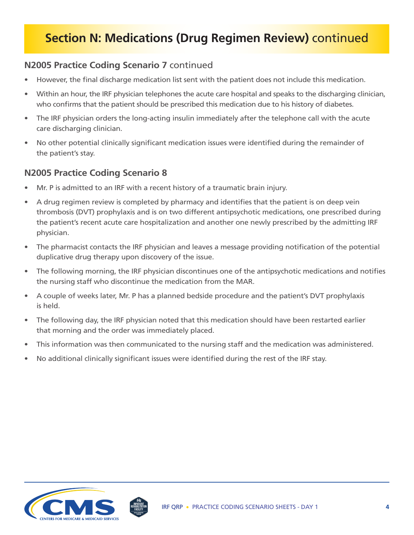## **Section N: Medications (Drug Regimen Review)** continued

### **N2005 Practice Coding Scenario 7** continued

- However, the final discharge medication list sent with the patient does not include this medication.
- Within an hour, the IRF physician telephones the acute care hospital and speaks to the discharging clinician, who confirms that the patient should be prescribed this medication due to his history of diabetes.
- The IRF physician orders the long-acting insulin immediately after the telephone call with the acute care discharging clinician.
- No other potential clinically significant medication issues were identified during the remainder of the patient's stay.

### **N2005 Practice Coding Scenario 8**

- Mr. P is admitted to an IRF with a recent history of a traumatic brain injury.
- A drug regimen review is completed by pharmacy and identifies that the patient is on deep vein thrombosis (DVT) prophylaxis and is on two different antipsychotic medications, one prescribed during the patient's recent acute care hospitalization and another one newly prescribed by the admitting IRF physician.
- The pharmacist contacts the IRF physician and leaves a message providing notification of the potential duplicative drug therapy upon discovery of the issue.
- The following morning, the IRF physician discontinues one of the antipsychotic medications and notifies the nursing staff who discontinue the medication from the MAR.
- A couple of weeks later, Mr. P has a planned bedside procedure and the patient's DVT prophylaxis is held.
- The following day, the IRF physician noted that this medication should have been restarted earlier that morning and the order was immediately placed.
- This information was then communicated to the nursing staff and the medication was administered.
- No additional clinically significant issues were identified during the rest of the IRF stay.

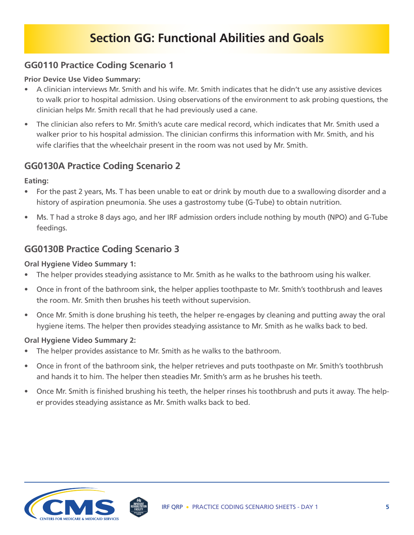## **Section GG: Functional Abilities and Goals**

### **GG0110 Practice Coding Scenario 1**

#### **Prior Device Use Video Summary:**

- A clinician interviews Mr. Smith and his wife. Mr. Smith indicates that he didn't use any assistive devices to walk prior to hospital admission. Using observations of the environment to ask probing questions, the clinician helps Mr. Smith recall that he had previously used a cane.
- The clinician also refers to Mr. Smith's acute care medical record, which indicates that Mr. Smith used a walker prior to his hospital admission. The clinician confirms this information with Mr. Smith, and his wife clarifies that the wheelchair present in the room was not used by Mr. Smith.

### **GG0130A Practice Coding Scenario 2**

**Eating:**

- For the past 2 years, Ms. T has been unable to eat or drink by mouth due to a swallowing disorder and a history of aspiration pneumonia. She uses a gastrostomy tube (G-Tube) to obtain nutrition.
- Ms. T had a stroke 8 days ago, and her IRF admission orders include nothing by mouth (NPO) and G-Tube feedings.

### **GG0130B Practice Coding Scenario 3**

#### **Oral Hygiene Video Summary 1:**

- The helper provides steadying assistance to Mr. Smith as he walks to the bathroom using his walker.
- Once in front of the bathroom sink, the helper applies toothpaste to Mr. Smith's toothbrush and leaves the room. Mr. Smith then brushes his teeth without supervision.
- Once Mr. Smith is done brushing his teeth, the helper re-engages by cleaning and putting away the oral hygiene items. The helper then provides steadying assistance to Mr. Smith as he walks back to bed.

#### **Oral Hygiene Video Summary 2:**

- The helper provides assistance to Mr. Smith as he walks to the bathroom.
- Once in front of the bathroom sink, the helper retrieves and puts toothpaste on Mr. Smith's toothbrush and hands it to him. The helper then steadies Mr. Smith's arm as he brushes his teeth.
- Once Mr. Smith is finished brushing his teeth, the helper rinses his toothbrush and puts it away. The helper provides steadying assistance as Mr. Smith walks back to bed.

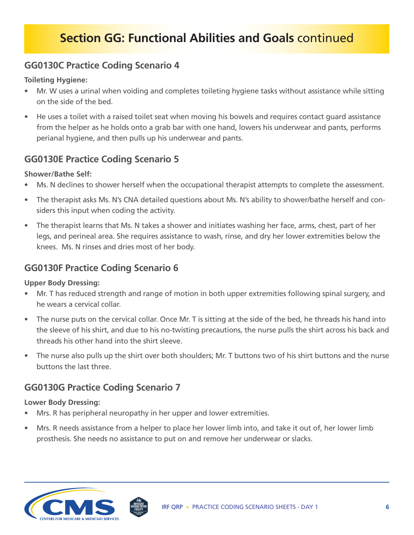## **GG0130C Practice Coding Scenario 4**

**Toileting Hygiene:**

- Mr. W uses a urinal when voiding and completes toileting hygiene tasks without assistance while sitting on the side of the bed.
- He uses a toilet with a raised toilet seat when moving his bowels and requires contact guard assistance from the helper as he holds onto a grab bar with one hand, lowers his underwear and pants, performs perianal hygiene, and then pulls up his underwear and pants.

## **GG0130E Practice Coding Scenario 5**

#### **Shower/Bathe Self:**

- Ms. N declines to shower herself when the occupational therapist attempts to complete the assessment.
- The therapist asks Ms. N's CNA detailed questions about Ms. N's ability to shower/bathe herself and considers this input when coding the activity.
- The therapist learns that Ms. N takes a shower and initiates washing her face, arms, chest, part of her legs, and perineal area. She requires assistance to wash, rinse, and dry her lower extremities below the knees. Ms. N rinses and dries most of her body.

## **GG0130F Practice Coding Scenario 6**

#### **Upper Body Dressing:**

- Mr. T has reduced strength and range of motion in both upper extremities following spinal surgery, and he wears a cervical collar.
- The nurse puts on the cervical collar. Once Mr. T is sitting at the side of the bed, he threads his hand into the sleeve of his shirt, and due to his no-twisting precautions, the nurse pulls the shirt across his back and threads his other hand into the shirt sleeve.
- The nurse also pulls up the shirt over both shoulders; Mr. T buttons two of his shirt buttons and the nurse buttons the last three.

## **GG0130G Practice Coding Scenario 7**

#### **Lower Body Dressing:**

- Mrs. R has peripheral neuropathy in her upper and lower extremities.
- Mrs. R needs assistance from a helper to place her lower limb into, and take it out of, her lower limb prosthesis. She needs no assistance to put on and remove her underwear or slacks.

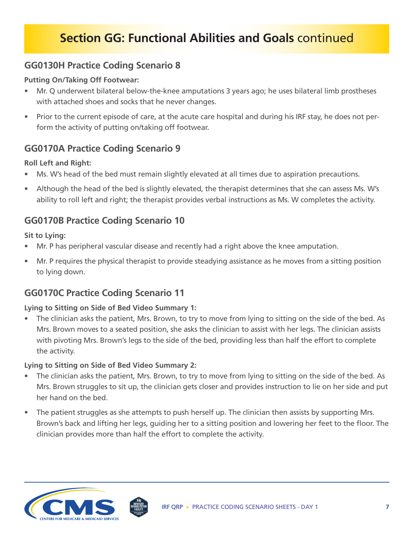## **GG0130H Practice Coding Scenario 8**

#### **Putting On/Taking Off Footwear:**

- Mr. Q underwent bilateral below-the-knee amputations 3 years ago; he uses bilateral limb prostheses with attached shoes and socks that he never changes.
- Prior to the current episode of care, at the acute care hospital and during his IRF stay, he does not perform the activity of putting on/taking off footwear.

### **GG0170A Practice Coding Scenario 9**

#### **Roll Left and Right:**

- Ms. W's head of the bed must remain slightly elevated at all times due to aspiration precautions.
- Although the head of the bed is slightly elevated, the therapist determines that she can assess Ms. W's ability to roll left and right; the therapist provides verbal instructions as Ms. W completes the activity.

### **GG0170B Practice Coding Scenario 10**

#### **Sit to Lying:**

- Mr. P has peripheral vascular disease and recently had a right above the knee amputation.
- Mr. P requires the physical therapist to provide steadying assistance as he moves from a sitting position to lying down.

## **GG0170C Practice Coding Scenario 11**

#### **Lying to Sitting on Side of Bed Video Summary 1:**

• The clinician asks the patient, Mrs. Brown, to try to move from lying to sitting on the side of the bed. As Mrs. Brown moves to a seated position, she asks the clinician to assist with her legs. The clinician assists with pivoting Mrs. Brown's legs to the side of the bed, providing less than half the effort to complete the activity.

#### **Lying to Sitting on Side of Bed Video Summary 2:**

- The clinician asks the patient, Mrs. Brown, to try to move from lying to sitting on the side of the bed. As Mrs. Brown struggles to sit up, the clinician gets closer and provides instruction to lie on her side and put her hand on the bed.
- The patient struggles as she attempts to push herself up. The clinician then assists by supporting Mrs. Brown's back and lifting her legs, guiding her to a sitting position and lowering her feet to the floor. The clinician provides more than half the effort to complete the activity.

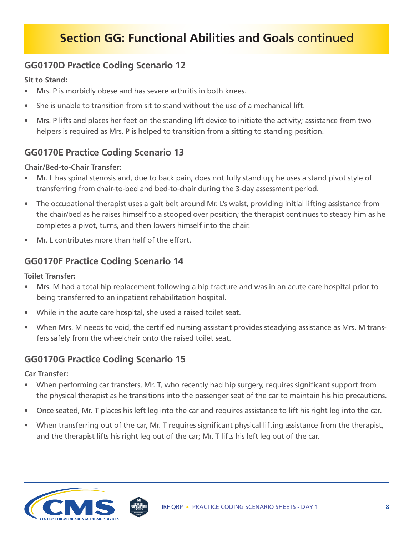## **GG0170D Practice Coding Scenario 12**

**Sit to Stand:**

- Mrs. P is morbidly obese and has severe arthritis in both knees.
- She is unable to transition from sit to stand without the use of a mechanical lift.
- Mrs. P lifts and places her feet on the standing lift device to initiate the activity; assistance from two helpers is required as Mrs. P is helped to transition from a sitting to standing position.

## **GG0170E Practice Coding Scenario 13**

#### **Chair/Bed-to-Chair Transfer:**

- Mr. L has spinal stenosis and, due to back pain, does not fully stand up; he uses a stand pivot style of transferring from chair-to-bed and bed-to-chair during the 3-day assessment period.
- The occupational therapist uses a gait belt around Mr. L's waist, providing initial lifting assistance from the chair/bed as he raises himself to a stooped over position; the therapist continues to steady him as he completes a pivot, turns, and then lowers himself into the chair.
- Mr. L contributes more than half of the effort.

### **GG0170F Practice Coding Scenario 14**

**Toilet Transfer:**

- Mrs. M had a total hip replacement following a hip fracture and was in an acute care hospital prior to being transferred to an inpatient rehabilitation hospital.
- While in the acute care hospital, she used a raised toilet seat.
- When Mrs. M needs to void, the certified nursing assistant provides steadying assistance as Mrs. M transfers safely from the wheelchair onto the raised toilet seat.

## **GG0170G Practice Coding Scenario 15**

**Car Transfer:**

- When performing car transfers, Mr. T, who recently had hip surgery, requires significant support from the physical therapist as he transitions into the passenger seat of the car to maintain his hip precautions.
- Once seated, Mr. T places his left leg into the car and requires assistance to lift his right leg into the car.
- When transferring out of the car, Mr. T requires significant physical lifting assistance from the therapist, and the therapist lifts his right leg out of the car; Mr. T lifts his left leg out of the car.

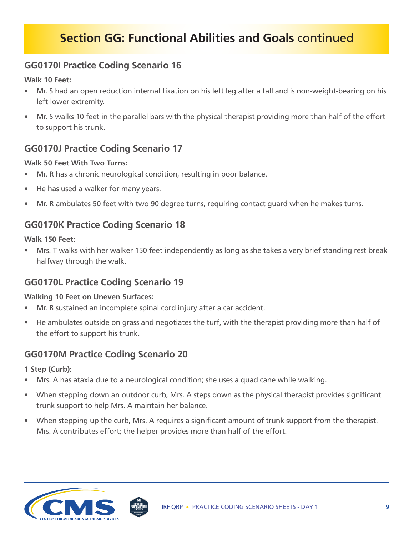## **GG0170I Practice Coding Scenario 16**

**Walk 10 Feet:**

- Mr. S had an open reduction internal fixation on his left leg after a fall and is non-weight-bearing on his left lower extremity.
- Mr. S walks 10 feet in the parallel bars with the physical therapist providing more than half of the effort to support his trunk.

## **GG0170J Practice Coding Scenario 17**

#### **Walk 50 Feet With Two Turns:**

- Mr. R has a chronic neurological condition, resulting in poor balance.
- He has used a walker for many years.
- Mr. R ambulates 50 feet with two 90 degree turns, requiring contact guard when he makes turns.

## **GG0170K Practice Coding Scenario 18**

**Walk 150 Feet:**

• Mrs. T walks with her walker 150 feet independently as long as she takes a very brief standing rest break halfway through the walk.

## **GG0170L Practice Coding Scenario 19**

#### **Walking 10 Feet on Uneven Surfaces:**

- Mr. B sustained an incomplete spinal cord injury after a car accident.
- He ambulates outside on grass and negotiates the turf, with the therapist providing more than half of the effort to support his trunk.

## **GG0170M Practice Coding Scenario 20**

**1 Step (Curb):**

- Mrs. A has ataxia due to a neurological condition; she uses a quad cane while walking.
- When stepping down an outdoor curb, Mrs. A steps down as the physical therapist provides significant trunk support to help Mrs. A maintain her balance.
- When stepping up the curb, Mrs. A requires a significant amount of trunk support from the therapist. Mrs. A contributes effort; the helper provides more than half of the effort.

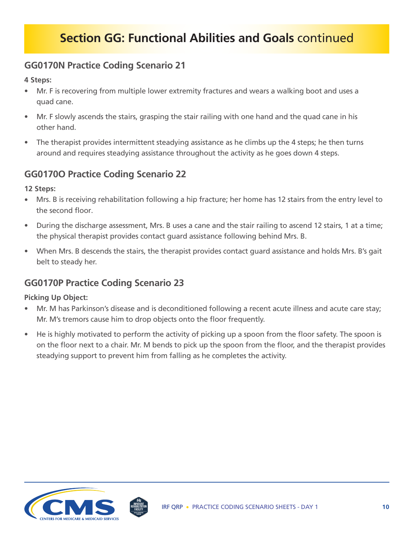## **GG0170N Practice Coding Scenario 21**

#### **4 Steps:**

- Mr. F is recovering from multiple lower extremity fractures and wears a walking boot and uses a quad cane.
- Mr. F slowly ascends the stairs, grasping the stair railing with one hand and the quad cane in his other hand.
- The therapist provides intermittent steadying assistance as he climbs up the 4 steps; he then turns around and requires steadying assistance throughout the activity as he goes down 4 steps.

### **GG0170O Practice Coding Scenario 22**

**12 Steps:**

- Mrs. B is receiving rehabilitation following a hip fracture; her home has 12 stairs from the entry level to the second floor.
- During the discharge assessment, Mrs. B uses a cane and the stair railing to ascend 12 stairs, 1 at a time; the physical therapist provides contact guard assistance following behind Mrs. B.
- When Mrs. B descends the stairs, the therapist provides contact guard assistance and holds Mrs. B's gait belt to steady her.

## **GG0170P Practice Coding Scenario 23**

#### **Picking Up Object:**

- Mr. M has Parkinson's disease and is deconditioned following a recent acute illness and acute care stay; Mr. M's tremors cause him to drop objects onto the floor frequently.
- He is highly motivated to perform the activity of picking up a spoon from the floor safety. The spoon is on the floor next to a chair. Mr. M bends to pick up the spoon from the floor, and the therapist provides steadying support to prevent him from falling as he completes the activity.